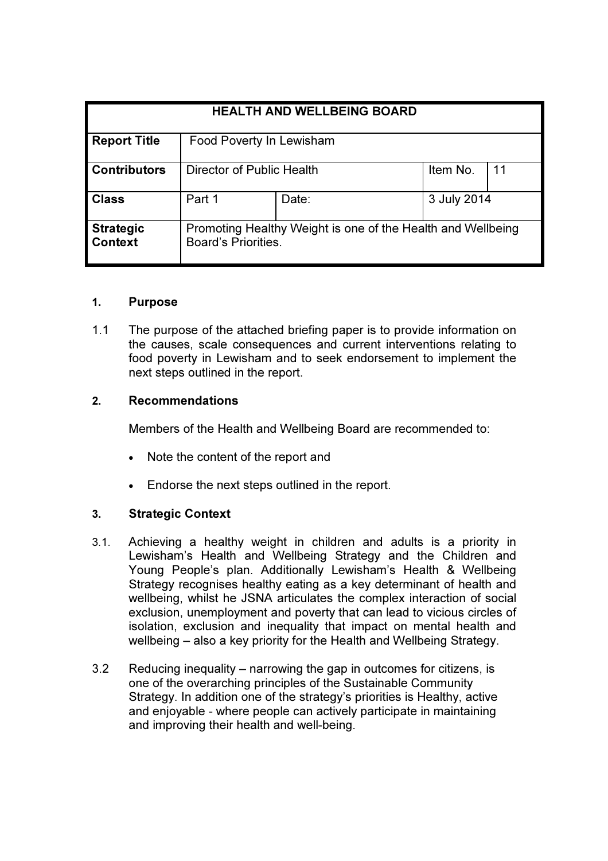| <b>HEALTH AND WELLBEING BOARD</b>  |                                                                                    |       |             |    |
|------------------------------------|------------------------------------------------------------------------------------|-------|-------------|----|
| <b>Report Title</b>                | Food Poverty In Lewisham                                                           |       |             |    |
| <b>Contributors</b>                | Director of Public Health                                                          |       | Item No.    | 11 |
| <b>Class</b>                       | Part 1                                                                             | Date: | 3 July 2014 |    |
| <b>Strategic</b><br><b>Context</b> | Promoting Healthy Weight is one of the Health and Wellbeing<br>Board's Priorities. |       |             |    |

### 1. Purpose

1.1 The purpose of the attached briefing paper is to provide information on the causes, scale consequences and current interventions relating to food poverty in Lewisham and to seek endorsement to implement the next steps outlined in the report.

## 2. Recommendations

Members of the Health and Wellbeing Board are recommended to:

- Note the content of the report and
- Endorse the next steps outlined in the report.

### 3. Strategic Context

- 3.1. Achieving a healthy weight in children and adults is a priority in Lewisham's Health and Wellbeing Strategy and the Children and Young People's plan. Additionally Lewisham's Health & Wellbeing Strategy recognises healthy eating as a key determinant of health and wellbeing, whilst he JSNA articulates the complex interaction of social exclusion, unemployment and poverty that can lead to vicious circles of isolation, exclusion and inequality that impact on mental health and wellbeing – also a key priority for the Health and Wellbeing Strategy.
- 3.2 Reducing inequality narrowing the gap in outcomes for citizens, is one of the overarching principles of the Sustainable Community Strategy. In addition one of the strategy's priorities is Healthy, active and enjoyable - where people can actively participate in maintaining and improving their health and well-being.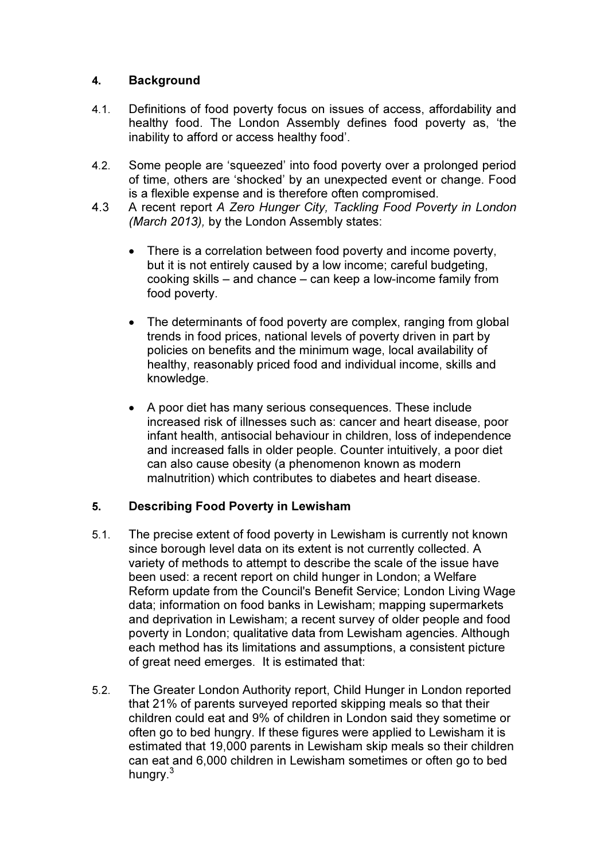## 4. Background

- 4.1. Definitions of food poverty focus on issues of access, affordability and healthy food. The London Assembly defines food poverty as, 'the inability to afford or access healthy food'.
- 4.2. Some people are 'squeezed' into food poverty over a prolonged period of time, others are 'shocked' by an unexpected event or change. Food is a flexible expense and is therefore often compromised.
- 4.3 A recent report A Zero Hunger City, Tackling Food Poverty in London (March 2013), by the London Assembly states:
	- There is a correlation between food poverty and income poverty, but it is not entirely caused by a low income; careful budgeting, cooking skills – and chance – can keep a low-income family from food poverty.
	- The determinants of food poverty are complex, ranging from global trends in food prices, national levels of poverty driven in part by policies on benefits and the minimum wage, local availability of healthy, reasonably priced food and individual income, skills and knowledge.
	- A poor diet has many serious consequences. These include increased risk of illnesses such as: cancer and heart disease, poor infant health, antisocial behaviour in children, loss of independence and increased falls in older people. Counter intuitively, a poor diet can also cause obesity (a phenomenon known as modern malnutrition) which contributes to diabetes and heart disease.

# 5. Describing Food Poverty in Lewisham

- 5.1. The precise extent of food poverty in Lewisham is currently not known since borough level data on its extent is not currently collected. A variety of methods to attempt to describe the scale of the issue have been used: a recent report on child hunger in London; a Welfare Reform update from the Council's Benefit Service; London Living Wage data; information on food banks in Lewisham; mapping supermarkets and deprivation in Lewisham; a recent survey of older people and food poverty in London; qualitative data from Lewisham agencies. Although each method has its limitations and assumptions, a consistent picture of great need emerges. It is estimated that:
- 5.2. The Greater London Authority report, Child Hunger in London reported that 21% of parents surveyed reported skipping meals so that their children could eat and 9% of children in London said they sometime or often go to bed hungry. If these figures were applied to Lewisham it is estimated that 19,000 parents in Lewisham skip meals so their children can eat and 6,000 children in Lewisham sometimes or often go to bed hungry.<sup>3</sup>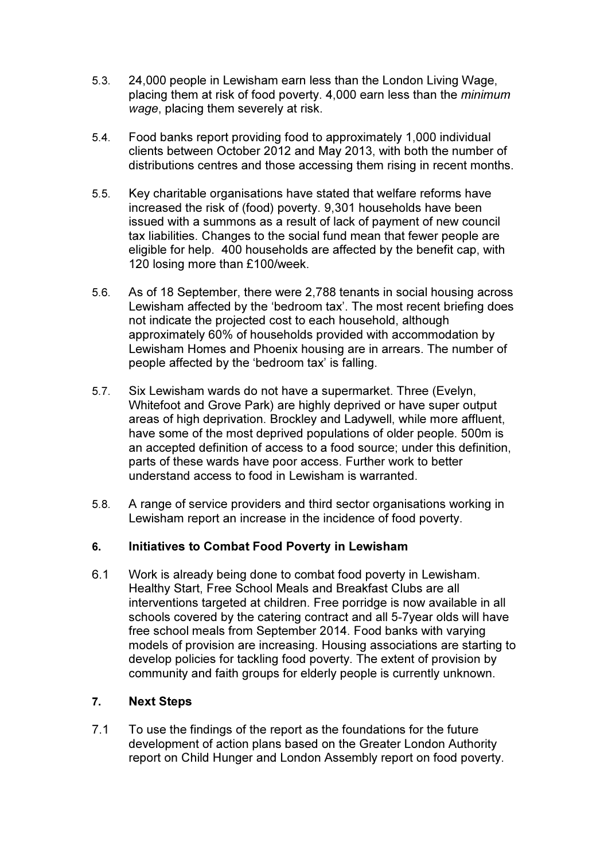- 5.3. 24,000 people in Lewisham earn less than the London Living Wage, placing them at risk of food poverty. 4,000 earn less than the minimum wage, placing them severely at risk.
- 5.4. Food banks report providing food to approximately 1,000 individual clients between October 2012 and May 2013, with both the number of distributions centres and those accessing them rising in recent months.
- 5.5. Key charitable organisations have stated that welfare reforms have increased the risk of (food) poverty. 9,301 households have been issued with a summons as a result of lack of payment of new council tax liabilities. Changes to the social fund mean that fewer people are eligible for help. 400 households are affected by the benefit cap, with 120 losing more than £100/week.
- 5.6. As of 18 September, there were 2,788 tenants in social housing across Lewisham affected by the 'bedroom tax'. The most recent briefing does not indicate the projected cost to each household, although approximately 60% of households provided with accommodation by Lewisham Homes and Phoenix housing are in arrears. The number of people affected by the 'bedroom tax' is falling.
- 5.7. Six Lewisham wards do not have a supermarket. Three (Evelyn, Whitefoot and Grove Park) are highly deprived or have super output areas of high deprivation. Brockley and Ladywell, while more affluent, have some of the most deprived populations of older people. 500m is an accepted definition of access to a food source; under this definition, parts of these wards have poor access. Further work to better understand access to food in Lewisham is warranted.
- 5.8. A range of service providers and third sector organisations working in Lewisham report an increase in the incidence of food poverty.

### 6. Initiatives to Combat Food Poverty in Lewisham

6.1 Work is already being done to combat food poverty in Lewisham. Healthy Start, Free School Meals and Breakfast Clubs are all interventions targeted at children. Free porridge is now available in all schools covered by the catering contract and all 5-7year olds will have free school meals from September 2014. Food banks with varying models of provision are increasing. Housing associations are starting to develop policies for tackling food poverty. The extent of provision by community and faith groups for elderly people is currently unknown.

# 7. Next Steps

7.1 To use the findings of the report as the foundations for the future development of action plans based on the Greater London Authority report on Child Hunger and London Assembly report on food poverty.